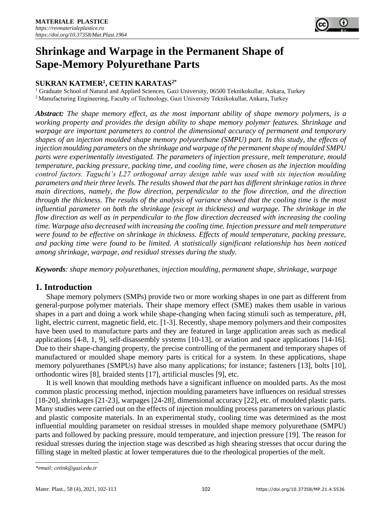

# **Shrinkage and Warpage in the Permanent Shape of Sape-Memory Polyurethane Parts**

# **SUKRAN KATMER<sup>1</sup> , CETIN KARATAS2\***

<sup>1</sup> Graduate School of Natural and Applied Sciences, Gazi University, 06500 Teknikokullar, Ankara, Turkey <sup>2</sup> Manufacturing Engineering, Faculty of Technology, Gazi University Teknikokullar, Ankara, Turkey

*Abstract: The shape memory effect, as the most important ability of shape memory polymers, is a working property and provides the design ability to shape memory polymer features. Shrinkage and warpage are important parameters to control the dimensional accuracy of permanent and temporary shapes of an injection moulded shape memory polyurethane (SMPU) part. In this study, the effects of injection moulding parameters on the shrinkage and warpage of the permanent shape of moulded SMPU parts were experimentally investigated. The parameters of injection pressure, melt temperature, mould temperature, packing pressure, packing time, and cooling time, were chosen as the injection moulding control factors. Taguchi's L27 orthogonal array design table was used with six injection moulding parameters and their three levels. The results showed that the part has different shrinkage ratios in three main directions, namely, the flow direction, perpendicular to the flow direction, and the direction through the thickness. The results of the analysis of variance showed that the cooling time is the most influential parameter on both the shrinkage (except in thickness) and warpage. The shrinkage in the flow direction as well as in perpendicular to the flow direction decreased with increasing the cooling time. Warpage also decreased with increasing the cooling time. Injection pressure and melt temperature were found to be effective on shrinkage in thickness. Effects of mould temperature, packing pressure, and packing time were found to be limited. A statistically significant relationship has been noticed among shrinkage, warpage, and residual stresses during the study.* 

*Keywords: shape memory polyurethanes, injection moulding, permanent shape, shrinkage, warpage*

# **1. Introduction**

Shape memory polymers (SMPs) provide two or more working shapes in one part as different from general-purpose polymer materials. Their shape memory effect (SME) makes them usable in various shapes in a part and doing a work while shape-changing when facing stimuli such as temperature, *p*H, light, electric current, magnetic field, etc. [1-3]. Recently, shape memory polymers and their composites have been used to manufacture parts and they are featured in large application areas such as medical applications [4-8, 1, 9], self-disassembly systems [10-13], or aviation and space applications [14-16]. Due to their shape-changing property, the precise controlling of the permanent and temporary shapes of manufactured or moulded shape memory parts is critical for a system. In these applications, shape memory polyurethanes (SMPUs) have also many applications; for instance; fasteners [13], bolts [10], orthodontic wires [8], braided stents [17], artificial muscles [9], etc.

It is well known that moulding methods have a significant influence on moulded parts. As the most common plastic processing method, injection moulding parameters have influences on residual stresses [18-20], shrinkages [21-23], warpages [24-28], dimensional accuracy [22], etc. of moulded plastic parts. Many studies were carried out on the effects of injection moulding process parameters on various plastic and plastic composite materials. In an experimental study, cooling time was determined as the most influential moulding parameter on residual stresses in moulded shape memory polyurethane (SMPU) parts and followed by packing pressure, mould temperature, and injection pressure [19]. The reason for residual stresses during the injection stage was described as high shearing stresses that occur during the filling stage in melted plastic at lower temperatures due to the rheological properties of the melt.

*<sup>\*</sup>email: cetink@gazi.edu.tr*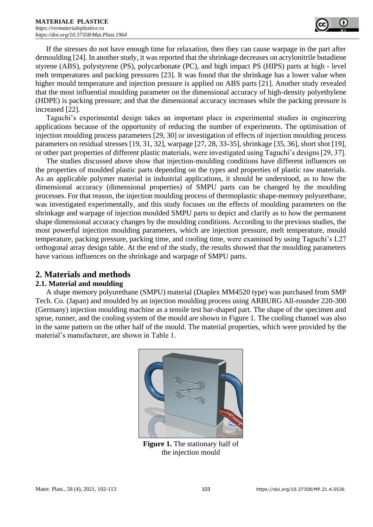

If the stresses do not have enough time for relaxation, then they can cause warpage in the part after demoulding [24]. In another study, it was reported that the shrinkage decreases on acrylonitrile butadiene styrene (ABS), polystyrene (PS), polycarbonate (PC), and high impact PS (HIPS) parts at high - level melt temperatures and packing pressures [23]. It was found that the shrinkage has a lower value when higher mould temperature and injection pressure is applied on ABS parts [21]. Another study revealed that the most influential moulding parameter on the dimensional accuracy of high-density polyethylene (HDPE) is packing pressure; and that the dimensional accuracy increases while the packing pressure is increased [22].

Taguchi's experimental design takes an important place in experimental studies in engineering applications because of the opportunity of reducing the number of experiments. The optimisation of injection moulding process parameters [29, 30] or investigation of effects of injection moulding process parameters on residual stresses [19, 31, 32], warpage [27, 28, 33-35], shrinkage [35, 36], short shot [19], or other part properties of different plastic materials, were investigated using Taguchi's designs [29, 37].

The studies discussed above show that injection-moulding conditions have different influences on the properties of moulded plastic parts depending on the types and properties of plastic raw materials. As an applicable polymer material in industrial applications, it should be understood, as to how the dimensional accuracy (dimensional properties) of SMPU parts can be changed by the moulding processes. For that reason, the injection moulding process of thermoplastic shape-memory polyurethane, was investigated experimentally, and this study focuses on the effects of moulding parameters on the shrinkage and warpage of injection moulded SMPU parts to depict and clarify as to how the permanent shape dimensional accuracy changes by the moulding conditions. According to the previous studies, the most powerful injection moulding parameters, which are injection pressure, melt temperature, mould temperature, packing pressure, packing time, and cooling time, were examined by using Taguchi's L27 orthogonal array design table. At the end of the study, the results showed that the moulding parameters have various influences on the shrinkage and warpage of SMPU parts.

# **2. Materials and methods**

## **2.1. Material and moulding**

A shape memory polyurethane (SMPU) material (Diaplex MM4520 type) was purchased from SMP Tech. Co. (Japan) and moulded by an injection moulding process using ARBURG All-rounder 220-300 (Germany) injection moulding machine as a tensile test bar-shaped part. The shape of the specimen and sprue, runner, and the cooling system of the mould are shown in Figure 1. The cooling channel was also in the same pattern on the other half of the mould. The material properties, which were provided by the material's manufacturer, are shown in Table 1.



**Figure 1.** The stationary half of the injection mould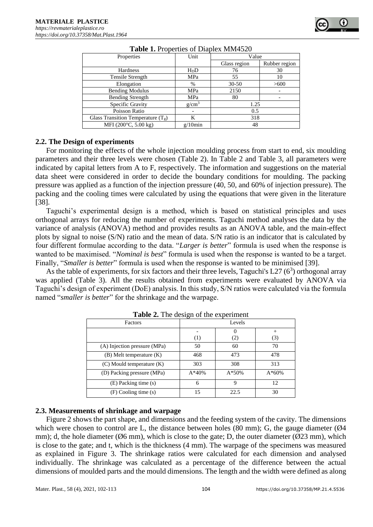| Properties                           | Unit       | Value        |               |  |  |  |
|--------------------------------------|------------|--------------|---------------|--|--|--|
|                                      |            | Glass region | Rubber region |  |  |  |
| Hardness                             | HDD        | 76           | 30            |  |  |  |
| Tensile Strength                     | MPa        | 55           | 10            |  |  |  |
| Elongation                           | $\%$       | $30 - 50$    | >600          |  |  |  |
| <b>Bending Modulus</b>               | MPa        | 2150         |               |  |  |  |
| <b>Bending Strength</b>              | MPa        | 80           |               |  |  |  |
| Specific Gravity                     | $g/cm^3$   | 1.25         |               |  |  |  |
| Poisson Ratio                        |            | 0.5          |               |  |  |  |
| Glass Transition Temperature $(T_g)$ | K          | 318          |               |  |  |  |
| MFI (200 $\degree$ C, 5.00 kg)       | $g/10$ min | 48           |               |  |  |  |

| Table 1. Properties of Diaplex MM4520 |  |
|---------------------------------------|--|
|---------------------------------------|--|

## **2.2. The Design of experiments**

For monitoring the effects of the whole injection moulding process from start to end, six moulding parameters and their three levels were chosen (Table 2). In Table 2 and Table 3, all parameters were indicated by capital letters from A to F, respectively. The information and suggestions on the material data sheet were considered in order to decide the boundary conditions for moulding. The packing pressure was applied as a function of the injection pressure (40, 50, and 60% of injection pressure). The packing and the cooling times were calculated by using the equations that were given in the literature [38].

Taguchi's experimental design is a method, which is based on statistical principles and uses orthogonal arrays for reducing the number of experiments. Taguchi method analyses the data by the variance of analysis (ANOVA) method and provides results as an ANOVA table, and the main-effect plots by signal to noise (S/N) ratio and the mean of data. S/N ratio is an indicator that is calculated by four different formulae according to the data. "*Larger is better*" formula is used when the response is wanted to be maximised. "*Nominal is best*" formula is used when the response is wanted to be a target. Finally, "*Smaller is better*" formula is used when the response is wanted to be minimised [39].

As the table of experiments, for six factors and their three levels, Taguchi's L27  $(6^3)$  orthogonal array was applied (Table 3). All the results obtained from experiments were evaluated by ANOVA via Taguchi's design of experiment (DoE) analysis. In this study, S/N ratios were calculated via the formula named "*smaller is better*" for the shrinkage and the warpage.

| Factors                       | Levels  |         |         |  |  |  |
|-------------------------------|---------|---------|---------|--|--|--|
|                               |         |         | $^+$    |  |  |  |
|                               | (1)     | (2)     | (3)     |  |  |  |
| (A) Injection pressure (MPa)  | 50      | 60      | 70      |  |  |  |
| $(B)$ Melt temperature $(K)$  | 468     | 473     | 478     |  |  |  |
| $(C)$ Mould temperature $(K)$ | 303     | 308     | 313     |  |  |  |
| (D) Packing pressure (MPa)    | $A*40%$ | $A*50%$ | $A*60%$ |  |  |  |
| (E) Packing time (s)          | 6       | Q       | 12      |  |  |  |
| (F) Cooling time (s)          | 15      | 22.5    | 30      |  |  |  |

**Table 2.** The design of the experiment

## **2.3. Measurements of shrinkage and warpage**

Figure 2 shows the part shape, and dimensions and the feeding system of the cavity. The dimensions which were chosen to control are L, the distance between holes  $(80 \text{ mm})$ ; G, the gauge diameter  $(Ø4)$ mm); d, the hole diameter ( $\emptyset$ 6 mm), which is close to the gate; D, the outer diameter ( $\emptyset$ 23 mm), which is close to the gate; and t, which is the thickness (4 mm). The warpage of the specimens was measured as explained in Figure 3. The shrinkage ratios were calculated for each dimension and analysed individually. The shrinkage was calculated as a percentage of the difference between the actual dimensions of moulded parts and the mould dimensions. The length and the width were defined as along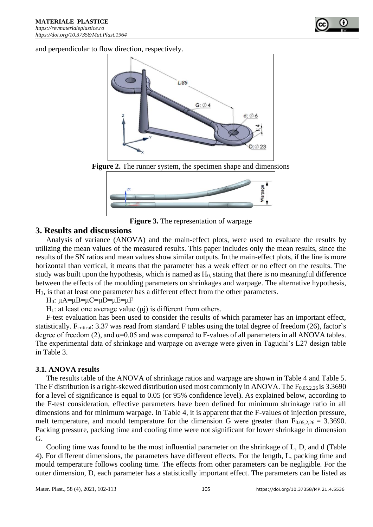

and perpendicular to flow direction, respectively.



**Figure 2.** The runner system, the specimen shape and dimensions



**Figure 3.** The representation of warpage

# **3. Results and discussions**

Analysis of variance (ANOVA) and the main-effect plots, were used to evaluate the results by utilizing the mean values of the measured results. This paper includes only the mean results, since the results of the SN ratios and mean values show similar outputs. In the main-effect plots, if the line is more horizontal than vertical, it means that the parameter has a weak effect or no effect on the results. The study was built upon the hypothesis, which is named as H<sub>0</sub>, stating that there is no meaningful difference between the effects of the moulding parameters on shrinkages and warpage. The alternative hypothesis, H1, is that at least one parameter has a different effect from the other parameters.

H<sub>0</sub>:  $\mu$ A= $\mu$ B= $\mu$ C= $\mu$ D= $\mu$ E= $\mu$ F

H<sub>1</sub>: at least one average value (μj) is different from others.

F-test evaluation has been used to consider the results of which parameter has an important effect, statistically. F<sub>critical</sub>: 3.37 was read from standard F tables using the total degree of freedom (26), factor's degree of freedom (2), and  $\alpha$ =0.05 and was compared to F-values of all parameters in all ANOVA tables. The experimental data of shrinkage and warpage on average were given in Taguchi's L27 design table in Table 3.

## **3.1. ANOVA results**

The results table of the ANOVA of shrinkage ratios and warpage are shown in Table 4 and Table 5. The F distribution is a right-skewed distribution used most commonly in ANOVA. The  $F_{0.05,2,26}$  is 3.3690 for a level of significance is equal to 0.05 (or 95% confidence level). As explained below, according to the F-test consideration, effective parameters have been defined for minimum shrinkage ratio in all dimensions and for minimum warpage. In Table 4, it is apparent that the F-values of injection pressure, melt temperature, and mould temperature for the dimension G were greater than  $F_{0.05,2,26} = 3.3690$ . Packing pressure, packing time and cooling time were not significant for lower shrinkage in dimension G.

Cooling time was found to be the most influential parameter on the shrinkage of L, D, and d (Table 4). For different dimensions, the parameters have different effects. For the length, L, packing time and mould temperature follows cooling time. The effects from other parameters can be negligible. For the outer dimension, D, each parameter has a statistically important effect. The parameters can be listed as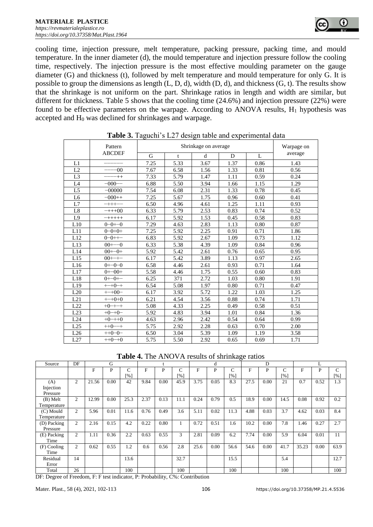cooling time, injection pressure, melt temperature, packing pressure, packing time, and mould temperature. In the inner diameter (d), the mould temperature and injection pressure follow the cooling time, respectively. The injection pressure is the most effective moulding parameter on the gauge diameter (G) and thickness (t), followed by melt temperature and mould temperature for only G. It is possible to group the dimensions as length  $(L, D, d)$ , width  $(D, d)$ , and thickness  $(G, t)$ . The results show that the shrinkage is not uniform on the part. Shrinkage ratios in length and width are similar, but different for thickness. Table 5 shows that the cooling time (24.6%) and injection pressure (22%) were found to be effective parameters on the warpage. According to ANOVA results,  $H_1$  hypothesis was accepted and H<sup>0</sup> was declined for shrinkages and warpage.

|                | Pattern        |      | Warpage on |      |      |      |         |
|----------------|----------------|------|------------|------|------|------|---------|
|                | <b>ABCDEF</b>  | G    | t          | d    | D    | L    | average |
| L1             |                | 7.25 | 5.33       | 3.67 | 1.37 | 0.86 | 1.43    |
| L2             | $-00$          | 7.67 | 6.58       | 1.56 | 1.33 | 0.81 | 0.56    |
| L <sub>3</sub> | $+ +$          | 7.33 | 5.79       | 1.47 | 1.11 | 0.59 | 0.24    |
| L4             | $-000$ -       | 6.88 | 5.50       | 3.94 | 1.66 | 1.15 | 1.29    |
| L <sub>5</sub> | $-00000$       | 7.54 | 6.08       | 2.31 | 1.33 | 0.78 | 0.45    |
| L <sub>6</sub> | $-000++$       | 7.25 | 5.67       | 1.75 | 0.96 | 0.60 | 0.41    |
| L7             | $- + + + - -$  | 6.50 | 4.96       | 4.61 | 1.25 | 1.11 | 0.93    |
| L8             | $-+++00$       | 6.33 | 5.79       | 2.53 | 0.83 | 0.74 | 0.52    |
| L <sub>9</sub> | $- + + + + +$  | 6.17 | 5.92       | 1.53 | 0.45 | 0.58 | 0.83    |
| L10            | $0 - 0 - 0$    | 7.29 | 4.63       | 2.83 | 1.13 | 0.80 | 0.87    |
| L11            | $0 - 0 + 0 +$  | 7.25 | 5.92       | 2.25 | 0.91 | 0.71 | 1.86    |
| L12            | $0 - 0 + + -$  | 6.83 | 5.92       | 2.67 | 1.09 | 0.73 | 1.12    |
| L13            | $00^{+--0}$    | 6.33 | 5.38       | 4.39 | 1.09 | 0.84 | 0.96    |
| L14            | $00+-0+$       | 5.92 | 5.42       | 2.61 | 0.76 | 0.65 | 0.95    |
| L15            | $00^{+ - + -}$ | 6.17 | 5.42       | 3.89 | 1.13 | 0.97 | 2.65    |
| L16            | $0+(-0-0)$     | 6.58 | 4.46       | 2.61 | 0.93 | 0.71 | 1.64    |
| L17            | $0 + -00 +$    | 5.58 | 4.46       | 1.75 | 0.55 | 0.60 | 0.83    |
| L18            | $0 + -0 + -$   | 6.25 | 371        | 2.72 | 1.03 | 0.80 | 1.91    |
| L19            | $^{++-+0-+}$   | 6.54 | 5.08       | 1.97 | 0.80 | 0.71 | 0.47    |
| L20            | $^{++00-}$     | 6.17 | 3.92       | 5.72 | 1.22 | 1.03 | 1.25    |
| L21            | $^{++-+0+0}$   | 6.21 | 4.54       | 3.56 | 0.88 | 0.74 | 1.71    |
| L22            | $+0$ - $++$    | 5.08 | 4.33       | 2.25 | 0.49 | 0.58 | 0.51    |
| L23            | $+0-+0-$       | 5.92 | 4.83       | 3.94 | 1.01 | 0.84 | 1.36    |
| L24            | $+0-+0$        | 4.63 | 2.96       | 2.42 | 0.54 | 0.64 | 0.99    |
| L25            | $++0--+$       | 5.75 | 2.92       | 2.28 | 0.63 | 0.70 | 2.00    |
| L26            | $+0-0-$        | 6.50 | 3.04       | 5.39 | 1.09 | 1.19 | 3.58    |
| L27            | $++0-+0$       | 5.75 | 5.50       | 2.92 | 0.65 | 0.69 | 1.71    |

**Table 3.** Taguchi's L27 design table and experimental data

**Table 4.** The ANOVA results of shrinkage ratios

| Source      | DF             |       | G    |                    |      |      |                    |      | d    |                    |              | D    |      |       |      |               |
|-------------|----------------|-------|------|--------------------|------|------|--------------------|------|------|--------------------|--------------|------|------|-------|------|---------------|
|             |                | F     | P    | C                  | F    | P    | Ċ                  | F    | P    | C                  | $\mathbf{F}$ | P    | C    | F     | P    | $\mathcal{C}$ |
|             |                |       |      | $\lceil \% \rceil$ |      |      | $\lceil 96 \rceil$ |      |      | $\lceil \% \rceil$ |              |      | [%]  |       |      | [%]           |
| (A)         | $\overline{2}$ | 21.56 | 0.00 | 42                 | 9.84 | 0.00 | 45.9               | 3.75 | 0.05 | 8.3                | 27.5         | 0.00 | 21   | 0.7   | 0.52 | 1.3           |
| Injection   |                |       |      |                    |      |      |                    |      |      |                    |              |      |      |       |      |               |
| Pressure    |                |       |      |                    |      |      |                    |      |      |                    |              |      |      |       |      |               |
| (B) Melt    | $\mathfrak{2}$ | 12.99 | 0.00 | 25.3               | 2.37 | 0.13 | 11.1               | 0.24 | 0.79 | 0.5                | 18.9         | 0.00 | 14.5 | 0.08  | 0.92 | 0.2           |
| Temperature |                |       |      |                    |      |      |                    |      |      |                    |              |      |      |       |      |               |
| (C) Mould   | $\overline{c}$ | 5.96  | 0.01 | 11.6               | 0.76 | 0.49 | 3.6                | 5.11 | 0.02 | 11.3               | 4.88         | 0.03 | 3.7  | 4.62  | 0.03 | 8.4           |
| Temperature |                |       |      |                    |      |      |                    |      |      |                    |              |      |      |       |      |               |
| (D) Packing | $\overline{c}$ | 2.16  | 0.15 | 4.2                | 0.22 | 0.80 |                    | 0.72 | 0.51 | 1.6                | 10.2         | 0.00 | 7.8  | 1.46  | 0.27 | 2.7           |
| Pressure    |                |       |      |                    |      |      |                    |      |      |                    |              |      |      |       |      |               |
| (E) Packing | $\overline{c}$ | 1.11  | 0.36 | 2.2                | 0.63 | 0.55 | 3                  | 2.81 | 0.09 | 6.2                | 7.74         | 0.00 | 5.9  | 6.04  | 0.01 | 11            |
| Time        |                |       |      |                    |      |      |                    |      |      |                    |              |      |      |       |      |               |
| (F) Cooling | $\overline{c}$ | 0.62  | 0.55 | 1.2                | 0.6  | 0.56 | 2.8                | 25.6 | 0.00 | 56.6               | 54.6         | 0.00 | 41.7 | 35.23 | 0.00 | 63.9          |
| Time        |                |       |      |                    |      |      |                    |      |      |                    |              |      |      |       |      |               |
| Residual    | 14             |       |      | 13.6               |      |      | 32.7               |      |      | 15.5               |              |      | 5.4  |       |      | 12.7          |
| Error       |                |       |      |                    |      |      |                    |      |      |                    |              |      |      |       |      |               |
| Total       | 26             |       |      | 100                |      |      | 100                |      |      | 100                |              |      | 100  |       |      | 100           |

DF: Degree of Freedom, F: F test indicator, P: Probability, C%: Contribution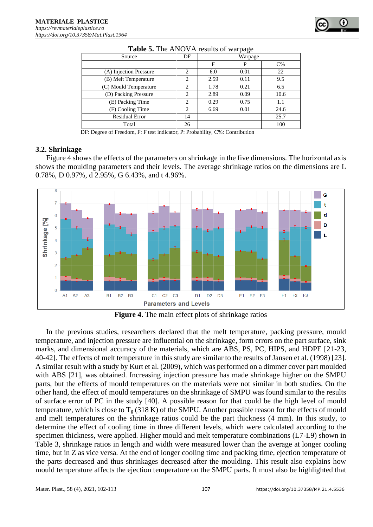

|                        |                |         | ۔ ص  |       |  |  |
|------------------------|----------------|---------|------|-------|--|--|
| Source                 | DF             | Warpage |      |       |  |  |
|                        |                | F       | P    | $C\%$ |  |  |
| (A) Injection Pressure | 2              | 6.0     | 0.01 | 22    |  |  |
| (B) Melt Temperature   | $\overline{2}$ | 2.59    | 0.11 | 9.5   |  |  |
| (C) Mould Temperature  | $\overline{c}$ | 1.78    | 0.21 | 6.5   |  |  |
| (D) Packing Pressure   | $\overline{c}$ | 2.89    | 0.09 | 10.6  |  |  |
| (E) Packing Time       | $\overline{2}$ | 0.29    | 0.75 | 1.1   |  |  |
| (F) Cooling Time       | 2              | 6.69    | 0.01 | 24.6  |  |  |
| <b>Residual Error</b>  | 14             |         |      | 25.7  |  |  |
| Total                  | 26             |         |      | 100   |  |  |

|  |  | Table 5. The ANOVA results of warpage |  |  |  |
|--|--|---------------------------------------|--|--|--|
|--|--|---------------------------------------|--|--|--|

DF: Degree of Freedom, F: F test indicator, P: Probability, C%: Contribution

#### **3.2. Shrinkage**

Figure 4 shows the effects of the parameters on shrinkage in the five dimensions. The horizontal axis shows the moulding parameters and their levels. The average shrinkage ratios on the dimensions are L 0.78%, D 0.97%, d 2.95%, G 6.43%, and t 4.96%.



**Figure 4.** The main effect plots of shrinkage ratios

In the previous studies, researchers declared that the melt temperature, packing pressure, mould temperature, and injection pressure are influential on the shrinkage, form errors on the part surface, sink marks, and dimensional accuracy of the materials, which are ABS, PS, PC, HIPS, and HDPE [21-23, 40-42]. The effects of melt temperature in this study are similar to the results of Jansen et al. (1998) [23]. A similar result with a study by Kurt et al. (2009), which was performed on a dimmer cover part moulded with ABS [21], was obtained. Increasing injection pressure has made shrinkage higher on the SMPU parts, but the effects of mould temperatures on the materials were not similar in both studies. On the other hand, the effect of mould temperatures on the shrinkage of SMPU was found similar to the results of surface error of PC in the study [40]. A possible reason for that could be the high level of mould temperature, which is close to  $T_g$  (318 K) of the SMPU. Another possible reason for the effects of mould and melt temperatures on the shrinkage ratios could be the part thickness (4 mm). In this study, to determine the effect of cooling time in three different levels, which were calculated according to the specimen thickness, were applied. Higher mould and melt temperature combinations (L7-L9) shown in Table 3, shrinkage ratios in length and width were measured lower than the average at longer cooling time, but in Z as vice versa. At the end of longer cooling time and packing time, ejection temperature of the parts decreased and thus shrinkages decreased after the moulding. This result also explains how mould temperature affects the ejection temperature on the SMPU parts. It must also be highlighted that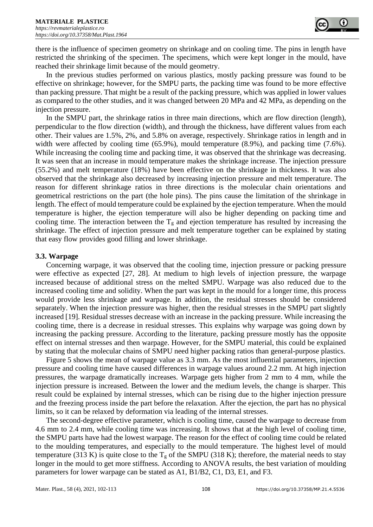there is the influence of specimen geometry on shrinkage and on cooling time. The pins in length have restricted the shrinking of the specimen. The specimens, which were kept longer in the mould, have reached their shrinkage limit because of the mould geometry.

In the previous studies performed on various plastics, mostly packing pressure was found to be effective on shrinkage; however, for the SMPU parts, the packing time was found to be more effective than packing pressure. That might be a result of the packing pressure, which was applied in lower values as compared to the other studies, and it was changed between 20 MPa and 42 MPa, as depending on the injection pressure.

In the SMPU part, the shrinkage ratios in three main directions, which are flow direction (length), perpendicular to the flow direction (width), and through the thickness, have different values from each other. Their values are 1.5%, 2%, and 5.8% on average, respectively. Shrinkage ratios in length and in width were affected by cooling time (65.9%), mould temperature (8.9%), and packing time (7.6%). While increasing the cooling time and packing time, it was observed that the shrinkage was decreasing. It was seen that an increase in mould temperature makes the shrinkage increase. The injection pressure (55.2%) and melt temperature (18%) have been effective on the shrinkage in thickness. It was also observed that the shrinkage also decreased by increasing injection pressure and melt temperature. The reason for different shrinkage ratios in three directions is the molecular chain orientations and geometrical restrictions on the part (the hole pins). The pins cause the limitation of the shrinkage in length. The effect of mould temperature could be explained by the ejection temperature. When the mould temperature is higher, the ejection temperature will also be higher depending on packing time and cooling time. The interaction between the  $T<sub>g</sub>$  and ejection temperature has resulted by increasing the shrinkage. The effect of injection pressure and melt temperature together can be explained by stating that easy flow provides good filling and lower shrinkage.

## **3.3. Warpage**

Concerning warpage, it was observed that the cooling time, injection pressure or packing pressure were effective as expected [27, 28]. At medium to high levels of injection pressure, the warpage increased because of additional stress on the melted SMPU. Warpage was also reduced due to the increased cooling time and solidity. When the part was kept in the mould for a longer time, this process would provide less shrinkage and warpage. In addition, the residual stresses should be considered separately. When the injection pressure was higher, then the residual stresses in the SMPU part slightly increased [19]. Residual stresses decrease with an increase in the packing pressure. While increasing the cooling time, there is a decrease in residual stresses. This explains why warpage was going down by increasing the packing pressure. According to the literature, packing pressure mostly has the opposite effect on internal stresses and then warpage. However, for the SMPU material, this could be explained by stating that the molecular chains of SMPU need higher packing ratios than general-purpose plastics.

Figure 5 shows the mean of warpage value as 3.3 mm. As the most influential parameters, injection pressure and cooling time have caused differences in warpage values around 2.2 mm. At high injection pressures, the warpage dramatically increases. Warpage gets higher from 2 mm to 4 mm, while the injection pressure is increased. Between the lower and the medium levels, the change is sharper. This result could be explained by internal stresses, which can be rising due to the higher injection pressure and the freezing process inside the part before the relaxation. After the ejection, the part has no physical limits, so it can be relaxed by deformation via leading of the internal stresses.

The second-degree effective parameter, which is cooling time, caused the warpage to decrease from 4.6 mm to 2.4 mm, while cooling time was increasing. It shows that at the high level of cooling time, the SMPU parts have had the lowest warpage. The reason for the effect of cooling time could be related to the moulding temperatures, and especially to the mould temperature. The highest level of mould temperature (313 K) is quite close to the  $T_g$  of the SMPU (318 K); therefore, the material needs to stay longer in the mould to get more stiffness. According to ANOVA results, the best variation of moulding parameters for lower warpage can be stated as A1, B1/B2, C1, D3, E1, and F3.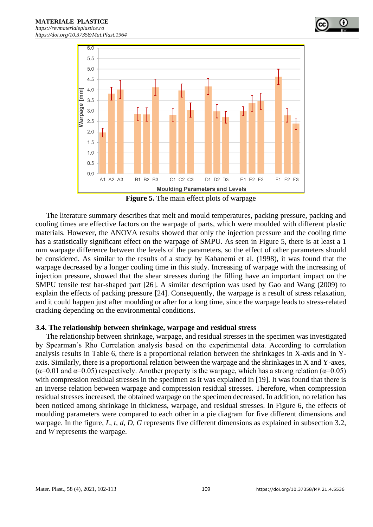



**Figure 5.** The main effect plots of warpage

The literature summary describes that melt and mould temperatures, packing pressure, packing and cooling times are effective factors on the warpage of parts, which were moulded with different plastic materials. However, the ANOVA results showed that only the injection pressure and the cooling time has a statistically significant effect on the warpage of SMPU. As seen in Figure 5, there is at least a 1 mm warpage difference between the levels of the parameters, so the effect of other parameters should be considered. As similar to the results of a study by Kabanemi et al. (1998), it was found that the warpage decreased by a longer cooling time in this study. Increasing of warpage with the increasing of injection pressure, showed that the shear stresses during the filling have an important impact on the SMPU tensile test bar-shaped part [26]. A similar description was used by Gao and Wang (2009) to explain the effects of packing pressure [24]. Consequently, the warpage is a result of stress relaxation, and it could happen just after moulding or after for a long time, since the warpage leads to stress-related cracking depending on the environmental conditions.

#### **3.4. The relationship between shrinkage, warpage and residual stress**

The relationship between shrinkage, warpage, and residual stresses in the specimen was investigated by Spearman's Rho Correlation analysis based on the experimental data. According to correlation analysis results in Table 6, there is a proportional relation between the shrinkages in X-axis and in Yaxis. Similarly, there is a proportional relation between the warpage and the shrinkages in X and Y-axes, ( $\alpha$ =0.01 and  $\alpha$ =0.05) respectively. Another property is the warpage, which has a strong relation ( $\alpha$ =0.05) with compression residual stresses in the specimen as it was explained in [19]. It was found that there is an inverse relation between warpage and compression residual stresses. Therefore, when compression residual stresses increased, the obtained warpage on the specimen decreased. In addition, no relation has been noticed among shrinkage in thickness, warpage, and residual stresses. In Figure 6, the effects of moulding parameters were compared to each other in a pie diagram for five different dimensions and warpage. In the figure, *L, t, d, D, G* represents five different dimensions as explained in subsection 3.2, and *W* represents the warpage.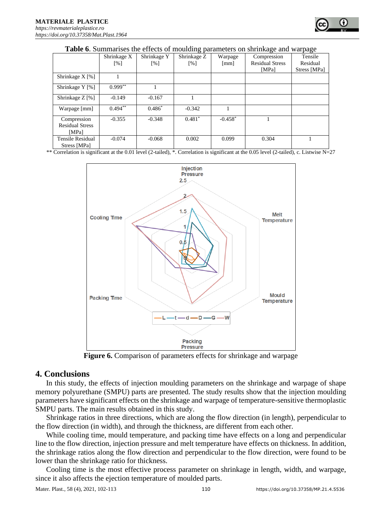|                                 | <b>Table 0.</b> Dummarises the criteris of mouraing parameters on simmage and warpage |                   |                   |                      |                        |              |  |  |  |  |  |
|---------------------------------|---------------------------------------------------------------------------------------|-------------------|-------------------|----------------------|------------------------|--------------|--|--|--|--|--|
|                                 | Shrinkage X                                                                           | Shrinkage Y       | Shrinkage Z       | Warpage              | Compression            | Tensile      |  |  |  |  |  |
|                                 | $\lceil\% \rceil$                                                                     | $\lceil\% \rceil$ | $\lceil\% \rceil$ | $\lceil$ mm $\rceil$ | <b>Residual Stress</b> | Residual     |  |  |  |  |  |
|                                 |                                                                                       |                   |                   |                      | [MPa]                  | Stress [MPa] |  |  |  |  |  |
| Shrinkage $X$ [%]               |                                                                                       |                   |                   |                      |                        |              |  |  |  |  |  |
| Shrinkage Y [%]                 | $0.999**$                                                                             |                   |                   |                      |                        |              |  |  |  |  |  |
| Shrinkage $Z \left[ \% \right]$ | $-0.149$                                                                              | $-0.167$          |                   |                      |                        |              |  |  |  |  |  |
| Warpage [mm]                    | $0.494$ **                                                                            | $0.486*$          | $-0.342$          |                      |                        |              |  |  |  |  |  |
| Compression                     | $-0.355$                                                                              | $-0.348$          | $0.481*$          | $-0.458*$            |                        |              |  |  |  |  |  |
| <b>Residual Stress</b>          |                                                                                       |                   |                   |                      |                        |              |  |  |  |  |  |
| [MPa]                           |                                                                                       |                   |                   |                      |                        |              |  |  |  |  |  |
| Tensile Residual                | $-0.074$                                                                              | $-0.068$          | 0.002             | 0.099                | 0.304                  |              |  |  |  |  |  |
| Stress [MPa]                    |                                                                                       |                   |                   |                      |                        |              |  |  |  |  |  |

**Table 6**. Summarises the effects of moulding parameters on shrinkage and warpage

\*\* Correlation is significant at the 0.01 level (2-tailed), \*. Correlation is significant at the 0.05 level (2-tailed), c. Listwise N=27



**Figure 6.** Comparison of parameters effects for shrinkage and warpage

# **4. Conclusions**

In this study, the effects of injection moulding parameters on the shrinkage and warpage of shape memory polyurethane (SMPU) parts are presented. The study results show that the injection moulding parameters have significant effects on the shrinkage and warpage of temperature-sensitive thermoplastic SMPU parts. The main results obtained in this study.

Shrinkage ratios in three directions, which are along the flow direction (in length), perpendicular to the flow direction (in width), and through the thickness, are different from each other.

While cooling time, mould temperature, and packing time have effects on a long and perpendicular line to the flow direction, injection pressure and melt temperature have effects on thickness. In addition, the shrinkage ratios along the flow direction and perpendicular to the flow direction, were found to be lower than the shrinkage ratio for thickness.

Cooling time is the most effective process parameter on shrinkage in length, width, and warpage, since it also affects the ejection temperature of moulded parts.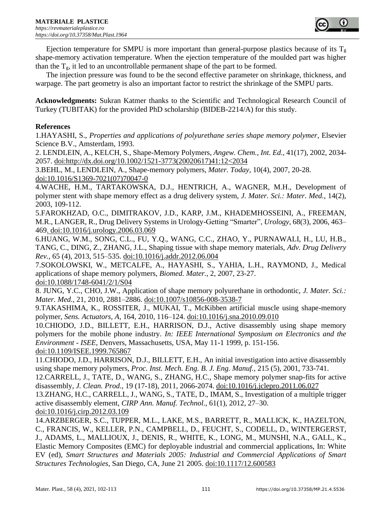

Ejection temperature for SMPU is more important than general-purpose plastics because of its  $T_g$ shape-memory activation temperature. When the ejection temperature of the moulded part was higher than the  $T_g$ , it led to an uncontrollable permanent shape of the part to be formed.

The injection pressure was found to be the second effective parameter on shrinkage, thickness, and warpage. The part geometry is also an important factor to restrict the shrinkage of the SMPU parts.

**Acknowledgments:** Sukran Katmer thanks to the Scientific and Technological Research Council of Turkey (TUBITAK) for the provided PhD scholarship (BIDEB-2214/A) for this study.

# **References**

1.HAYASHI, S., *Properties and applications of polyurethane series shape memory polymer*, Elsevier Science B.V., Amsterdam, 1993.

2. LENDLEIN, A., KELCH, S., Shape-Memory Polymers, *Angew. Chem., Int. Ed.,* 41(17), 2002, 2034- 2057. doi:http://dx.doi.org/10.1002/1521-3773(20020617)41:12<2034

3.BEHL, M., LENDLEIN, A., Shape-memory polymers, *Mater. Today,* 10(4), 2007, 20-28. doi:10.1016/S1369-7021(07)70047-0

4.WACHE, H.M., TARTAKOWSKA, D.J., HENTRICH, A., WAGNER, M.H., Development of polymer stent with shape memory effect as a drug delivery system, *J. Mater. Sci.: Mater. Med.,* 14(2), 2003, 109-112.

5.FAROKHZAD, O.C., DIMITRAKOV, J.D., KARP, J.M., KHADEMHOSSEINI, A., FREEMAN, M.R., LANGER, R., Drug Delivery Systems in Urology-Getting "Smarter", *Urology*, 68(3), 2006, 463– 469. doi:10.1016/j.urology.2006.03.069

6.HUANG, W.M., SONG, C.L., FU, Y.Q., WANG, C.C., ZHAO, Y., PURNAWALI, H., LU, H.B., TANG, C., DING, Z., ZHANG, J.L., Shaping tissue with shape memory materials, *Adv. Drug Delivery Rev.,* 65 (4), 2013, 515–535. doi:10.1016/j.addr.2012.06.004

7.SOKOLOWSKI, W., METCALFE, A., HAYASHI, S., YAHIA, L.H., RAYMOND, J., Medical applications of shape memory polymers, *Biomed. Mater.,* 2, 2007, 23-27. doi:10.1088/1748-6041/2/1/S04

8. JUNG, Y.C., CHO, J.W., Application of shape memory polyurethane in orthodontic, *J. Mater. Sci.: Mater. Med.*, 21, 2010, 2881–2886. doi:10.1007/s10856-008-3538-7

9.TAKASHIMA, K., ROSSITER, J., MUKAI, T., McKibben artificial muscle using shape-memory polymer, *Sens. Actuators, A*, 164, 2010, 116–124. doi:10.1016/j.sna.2010.09.010

10.CHIODO, J.D., BILLETT, E.H., HARRISON, D.J., Active disassembly using shape memory polymers for the mobile phone industry. *In: IEEE International Symposium on Electronics and the Environment - ISEE*, Denvers, Massachusetts, USA, May 11-1 1999, p. 151-156. doi:10.1109/ISEE.1999.765867

11.CHIODO, J.D., HARRISON, D.J., BILLETT, E.H., An initial investigation into active disassembly using shape memory polymers, *Proc. Inst. Mech. Eng. B. J. Eng. Manuf.,* 215 (5), 2001, 733-741.

12.CARRELL, J., TATE, D., WANG, S., ZHANG, H.C., Shape memory polymer snap-fits for active disassembly, *J. Clean. Prod.*, 19 (17-18), 2011, 2066-2074. doi:10.1016/j.jclepro.2011.06.027

13.ZHANG, H.C., CARRELL, J., WANG, S., TATE, D., IMAM, S., Investigation of a multiple trigger active disassembly element, *CIRP Ann. Manuf. Technol.*, 61(1), 2012, 27–30.

doi:10.1016/j.cirp.2012.03.109

14.ARZBERGER, S.C., TUPPER, M.L., LAKE, M.S., BARRETT, R., MALLICK, K., HAZELTON, C., FRANCIS, W., KELLER, P.N., CAMPBELL, D., FEUCHT, S., CODELL, D., WINTERGERST, J., ADAMS, L., MALLIOUX, J., DENIS, R., WHITE, K., LONG, M., MUNSHI, N.A., GALL, K., Elastic Memory Composites (EMC) for deployable industrial and commercial applications, In: White EV (ed), *Smart Structures and Materials 2005: Industrial and Commercial Applications of Smart Structures Technologies*, San Diego, CA, June 21 2005. doi:10.1117/12.600583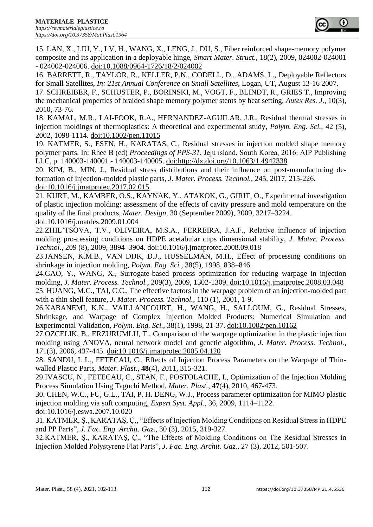15. LAN, X., LIU, Y., LV, H., WANG, X., LENG, J., DU, S., Fiber reinforced shape-memory polymer composite and its application in a deployable hinge, *Smart Mater. Struct.*, 18(2), 2009, 024002-024001 - 024002-024006. doi:10.1088/0964-1726/18/2/024002

16. BARRETT, R., TAYLOR, R., KELLER, P.N., CODELL, D., ADAMS, L., Deployable Reflectors for Small Satellites, *In: 21st Annual Conference on Small Satellites*, Logan, UT, August 13-16 2007.

17. SCHREIBER, F., SCHUSTER, P., BORINSKI, M., VOGT, F., BLINDT, R., GRIES T., Improving the mechanical properties of braided shape memory polymer stents by heat setting, *Autex Res. J.*, 10(3), 2010, 73-76.

18. KAMAL, M.R., LAI-FOOK, R.A., HERNANDEZ-AGUILAR, J.R., Residual thermal stresses in injection moldings of thermoplastics: A theoretical and experimental study, *Polym. Eng. Sci.,* 42 (5), 2002, 1098-1114. doi:10.1002/pen.11015

19. KATMER, S., ESEN, H., KARATAS, C., Residual stresses in injection molded shape memory polymer parts. In: Rhee B (ed) *Proceedings of PPS-31*, Jeju ısland, South Korea, 2016. AIP Publishing LLC, p. 140003-140001 - 140003-140005. doi:http://dx.doi.org/10.1063/1.4942338

20. KIM, B., MIN, J., Residual stress distributions and their influence on post-manufacturing deformation of injection-molded plastic parts, *J. Mater. Process. Technol.*, 245, 2017, 215-226. doi:10.1016/j.jmatprotec.2017.02.015

21. KURT, M., KAMBER, O.S., KAYNAK, Y., ATAKOK, G., GIRIT, O., Experimental investigation of plastic injection molding: assessment of the effects of cavity pressure and mold temperature on the quality of the final products, *Mater. Design,* 30 (September 2009), 2009, 3217–3224.

doi:10.1016/j.matdes.2009.01.004

22.ZHIL'TSOVA, T.V., OLIVEIRA, M.S.A., FERREIRA, J.A.F., Relative influence of injection molding pro-cessing conditions on HDPE acetabular cups dimensional stability, *J. Mater. Process. Technol.*, 209 (8), 2009, 3894–3904. doi:10.1016/j.jmatprotec.2008.09.018

23.JANSEN, K.M.B., VAN DIJK, D.J., HUSSELMAN, M.H., Effect of processing conditions on shrinkage in injection molding, *Polym. Eng. Sci.*, 38(5), 1998, 838–846.

24.GAO, Y., WANG, X., Surrogate-based process optimization for reducing warpage in injection molding, *J. Mater. Process. Technol.,* 209(3), 2009, 1302-1309. doi:10.1016/j.jmatprotec.2008.03.048

25. HUANG, M.C., TAI, C.C., The effective factors in the warpage problem of an injection-molded part with a thin shell feature, *J. Mater. Process. Technol.*, 110 (1), 2001, 1-9.

26.KABANEMI, K.K., VAILLANCOURT, H., WANG, H., SALLOUM, G., Residual Stresses, Shrinkage, and Warpage of Complex Injection Molded Products: Numerical Simulation and Experimental Validation, *Polym. Eng. Sci.*, 38(1), 1998, 21-37. doi:10.1002/pen.10162

27.OZCELIK, B., ERZURUMLU, T., Comparison of the warpage optimization in the plastic injection molding using ANOVA, neural network model and genetic algorithm, *J. Mater. Process. Technol.*, 171(3), 2006, 437-445. doi:10.1016/j.jmatprotec.2005.04.120

28. SANDU, I. L., FETECAU, C., Effects of Injection Process Parameters on the Warpage of Thinwalled Plastic Parts, *Mater. Plast.*, **48**(4), 2011, 315-321.

29.IVASCU, N., FETECAU, C., STAN, F., POSTOLACHE, I., Optimization of the Injection Molding Process Simulation Using Taguchi Method, *Mater. Plast.*, **47**(4), 2010, 467-473.

30. CHEN, W.C., FU, G.L., TAI, P. H. DENG, W.J., Process parameter optimization for MIMO plastic injection molding via soft computing, *Expert Syst. Appl.*, 36, 2009, 1114–1122.

doi:10.1016/j.eswa.2007.10.020

31. KATMER, Ş., KARATAŞ, Ç., "Effects of Injection Molding Conditions on Residual Stress in HDPE and PP Parts", *J. Fac. Eng. Archit. Gaz.*, 30 (3), 2015, 319-327.

32.KATMER, Ş., KARATAŞ, Ç., "The Effects of Molding Conditions on The Residual Stresses in Injection Molded Polystyrene Flat Parts", *J. Fac. Eng. Archit. Gaz.*, 27 (3), 2012, 501-507.